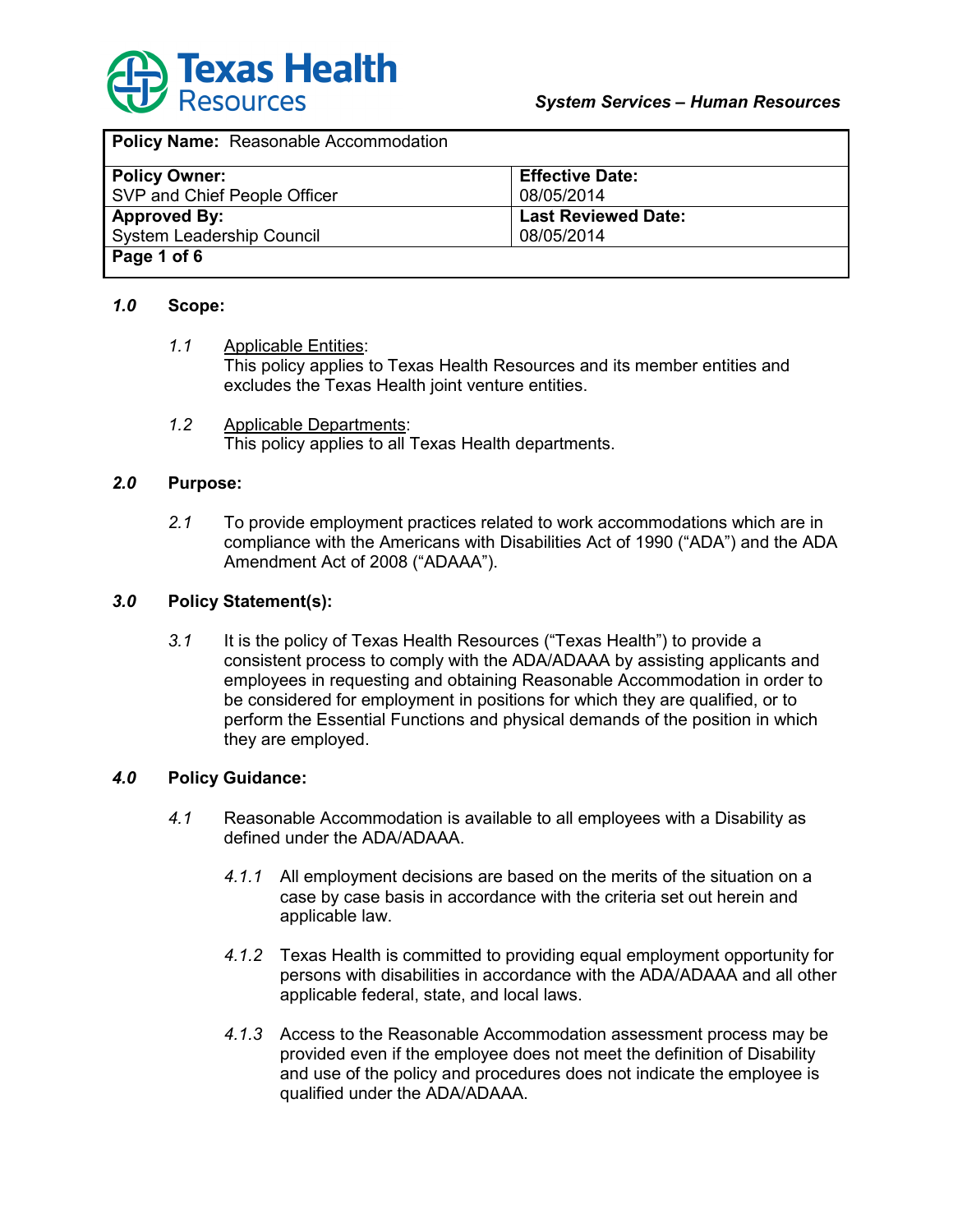

| Policy Name: Reasonable Accommodation |                            |
|---------------------------------------|----------------------------|
| <b>Policy Owner:</b>                  | <b>Effective Date:</b>     |
| SVP and Chief People Officer          | 08/05/2014                 |
| <b>Approved By:</b>                   | <b>Last Reviewed Date:</b> |
| <b>System Leadership Council</b>      | 08/05/2014                 |
| Page 1 of 6                           |                            |

#### *1.0* **Scope:**

- *1.1* Applicable Entities: This policy applies to Texas Health Resources and its member entities and excludes the Texas Health joint venture entities.
- *1.2* Applicable Departments: This policy applies to all Texas Health departments.

#### *2.0* **Purpose:**

*2.1* To provide employment practices related to work accommodations which are in compliance with the Americans with Disabilities Act of 1990 ("ADA") and the ADA Amendment Act of 2008 ("ADAAA").

#### *3.0* **Policy Statement(s):**

*3.1* It is the policy of Texas Health Resources ("Texas Health") to provide a consistent process to comply with the ADA/ADAAA by assisting applicants and employees in requesting and obtaining Reasonable Accommodation in order to be considered for employment in positions for which they are qualified, or to perform the Essential Functions and physical demands of the position in which they are employed.

#### *4.0* **Policy Guidance:**

- *4.1* Reasonable Accommodation is available to all employees with a Disability as defined under the ADA/ADAAA.
	- *4.1.1* All employment decisions are based on the merits of the situation on a case by case basis in accordance with the criteria set out herein and applicable law.
	- *4.1.2* Texas Health is committed to providing equal employment opportunity for persons with disabilities in accordance with the ADA/ADAAA and all other applicable federal, state, and local laws.
	- *4.1.3* Access to the Reasonable Accommodation assessment process may be provided even if the employee does not meet the definition of Disability and use of the policy and procedures does not indicate the employee is qualified under the ADA/ADAAA.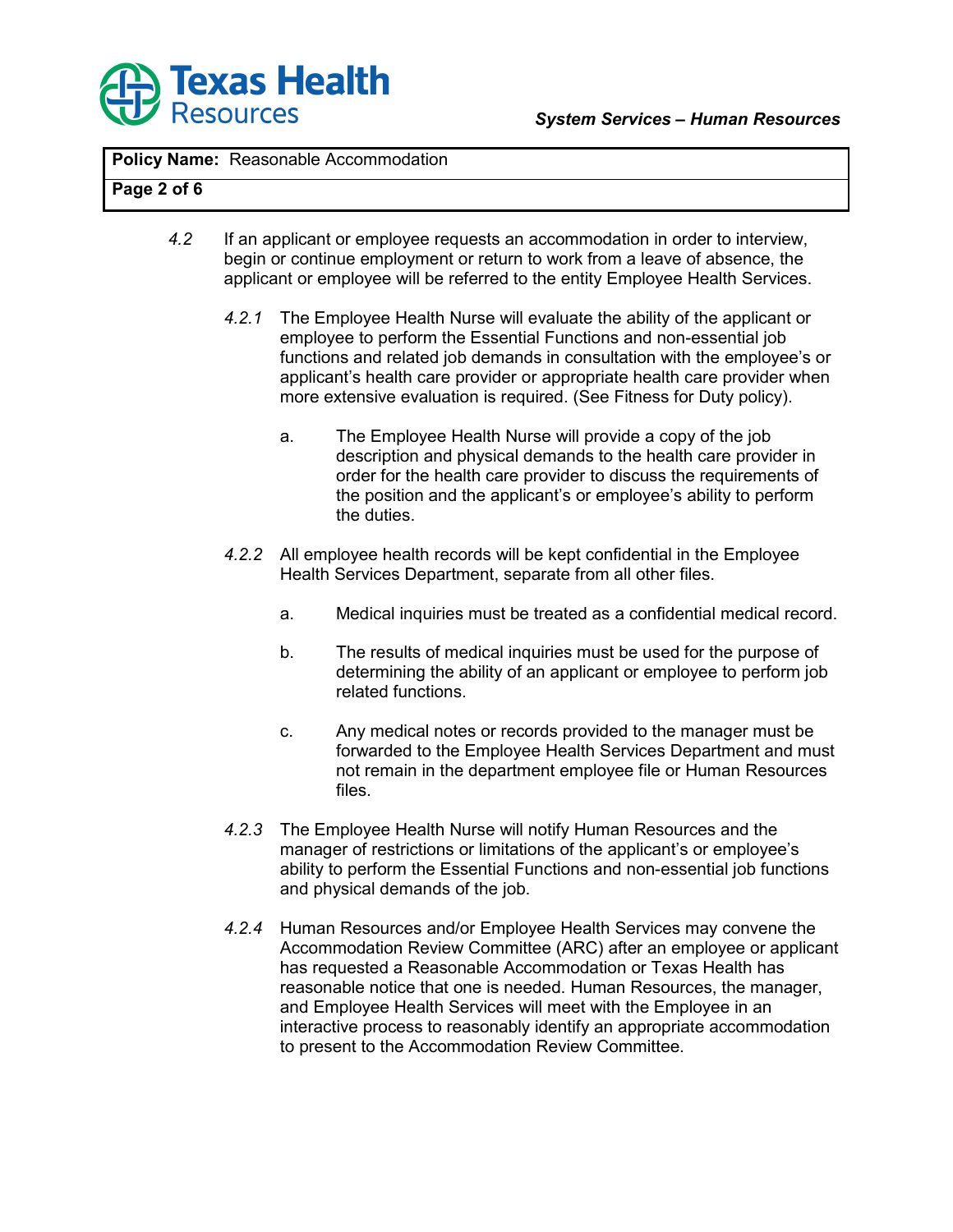

# **Page 2 of 6**

- *4.2* If an applicant or employee requests an accommodation in order to interview, begin or continue employment or return to work from a leave of absence, the applicant or employee will be referred to the entity Employee Health Services.
	- *4.2.1* The Employee Health Nurse will evaluate the ability of the applicant or employee to perform the Essential Functions and non-essential job functions and related job demands in consultation with the employee's or applicant's health care provider or appropriate health care provider when more extensive evaluation is required. (See Fitness for Duty policy).
		- a. The Employee Health Nurse will provide a copy of the job description and physical demands to the health care provider in order for the health care provider to discuss the requirements of the position and the applicant's or employee's ability to perform the duties.
	- *4.2.2* All employee health records will be kept confidential in the Employee Health Services Department, separate from all other files.
		- a. Medical inquiries must be treated as a confidential medical record.
		- b. The results of medical inquiries must be used for the purpose of determining the ability of an applicant or employee to perform job related functions.
		- c. Any medical notes or records provided to the manager must be forwarded to the Employee Health Services Department and must not remain in the department employee file or Human Resources files.
	- *4.2.3* The Employee Health Nurse will notify Human Resources and the manager of restrictions or limitations of the applicant's or employee's ability to perform the Essential Functions and non-essential job functions and physical demands of the job.
	- *4.2.4* Human Resources and/or Employee Health Services may convene the Accommodation Review Committee (ARC) after an employee or applicant has requested a Reasonable Accommodation or Texas Health has reasonable notice that one is needed. Human Resources, the manager, and Employee Health Services will meet with the Employee in an interactive process to reasonably identify an appropriate accommodation to present to the Accommodation Review Committee.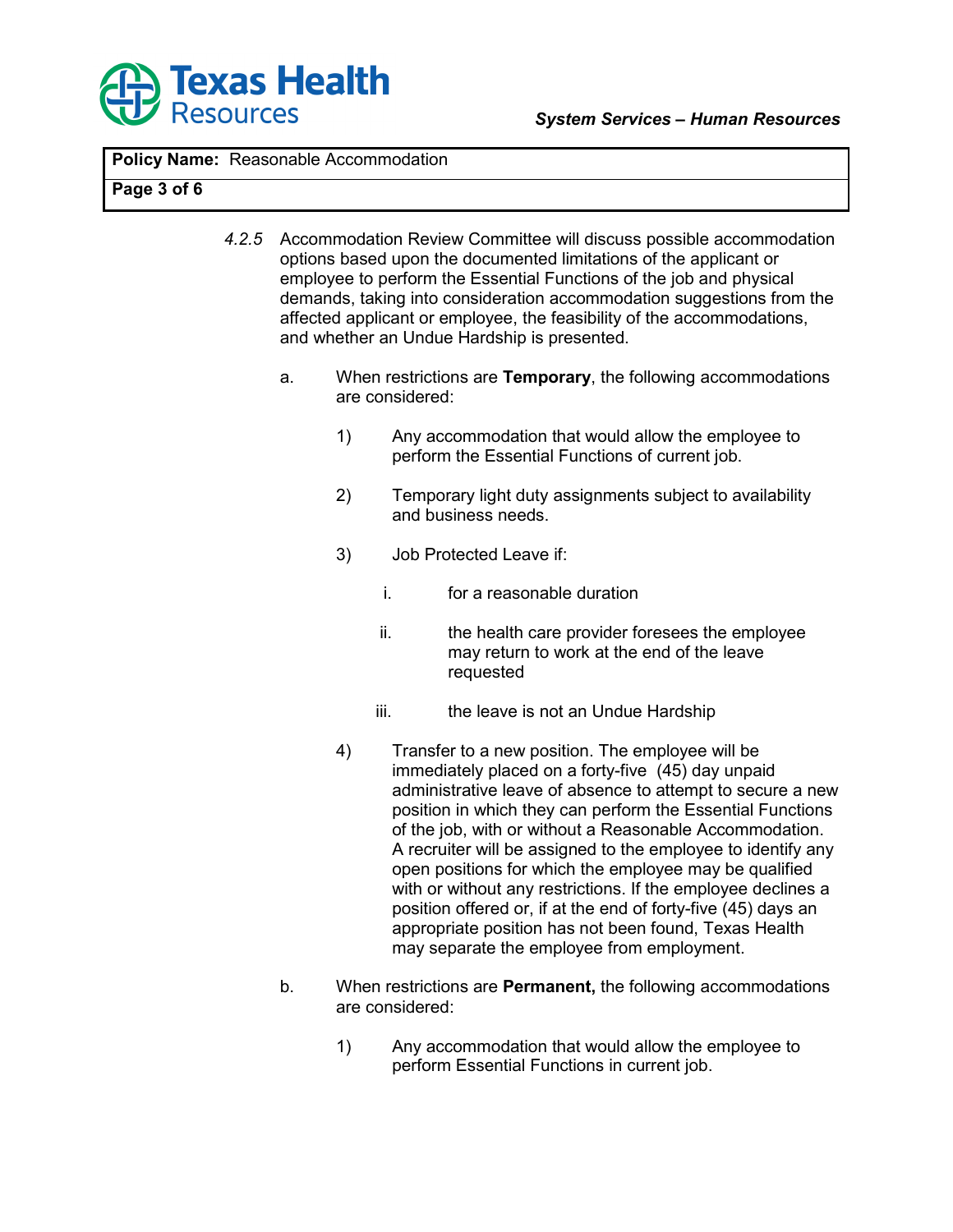

## **Page 3 of 6**

- *4.2.5* Accommodation Review Committee will discuss possible accommodation options based upon the documented limitations of the applicant or employee to perform the Essential Functions of the job and physical demands, taking into consideration accommodation suggestions from the affected applicant or employee, the feasibility of the accommodations, and whether an Undue Hardship is presented.
	- a. When restrictions are **Temporary**, the following accommodations are considered:
		- 1) Any accommodation that would allow the employee to perform the Essential Functions of current job.
		- 2) Temporary light duty assignments subject to availability and business needs.
		- 3) Job Protected Leave if:
			- i. for a reasonable duration
			- ii. the health care provider foresees the employee may return to work at the end of the leave requested
			- iii. the leave is not an Undue Hardship
		- 4) Transfer to a new position. The employee will be immediately placed on a forty-five (45) day unpaid administrative leave of absence to attempt to secure a new position in which they can perform the Essential Functions of the job, with or without a Reasonable Accommodation. A recruiter will be assigned to the employee to identify any open positions for which the employee may be qualified with or without any restrictions. If the employee declines a position offered or, if at the end of forty-five (45) days an appropriate position has not been found, Texas Health may separate the employee from employment.
	- b. When restrictions are **Permanent,** the following accommodations are considered:
		- 1) Any accommodation that would allow the employee to perform Essential Functions in current job.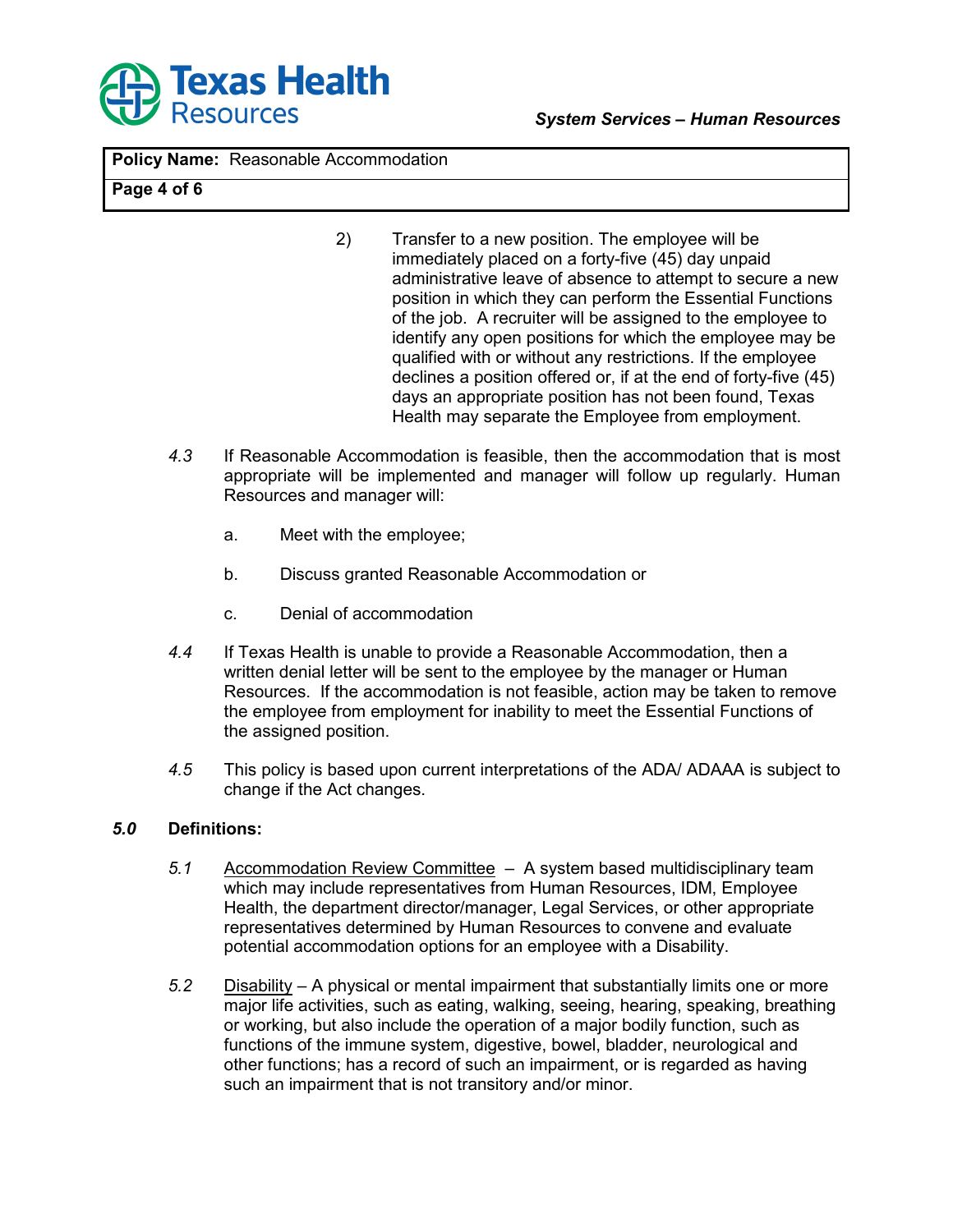

## **Page 4 of 6**

- 2) Transfer to a new position. The employee will be immediately placed on a forty-five (45) day unpaid administrative leave of absence to attempt to secure a new position in which they can perform the Essential Functions of the job. A recruiter will be assigned to the employee to identify any open positions for which the employee may be qualified with or without any restrictions. If the employee declines a position offered or, if at the end of forty-five (45) days an appropriate position has not been found, Texas Health may separate the Employee from employment.
- *4.3* If Reasonable Accommodation is feasible, then the accommodation that is most appropriate will be implemented and manager will follow up regularly. Human Resources and manager will:
	- a. Meet with the employee;
	- b. Discuss granted Reasonable Accommodation or
	- c. Denial of accommodation
- *4.4* If Texas Health is unable to provide a Reasonable Accommodation, then a written denial letter will be sent to the employee by the manager or Human Resources. If the accommodation is not feasible, action may be taken to remove the employee from employment for inability to meet the Essential Functions of the assigned position.
- *4.5* This policy is based upon current interpretations of the ADA/ ADAAA is subject to change if the Act changes.

#### *5.0* **Definitions:**

- *5.1* Accommodation Review Committee A system based multidisciplinary team which may include representatives from Human Resources, IDM, Employee Health, the department director/manager, Legal Services, or other appropriate representatives determined by Human Resources to convene and evaluate potential accommodation options for an employee with a Disability.
- *5.2* Disability A physical or mental impairment that substantially limits one or more major life activities, such as eating, walking, seeing, hearing, speaking, breathing or working, but also include the operation of a major bodily function, such as functions of the immune system, digestive, bowel, bladder, neurological and other functions; has a record of such an impairment, or is regarded as having such an impairment that is not transitory and/or minor.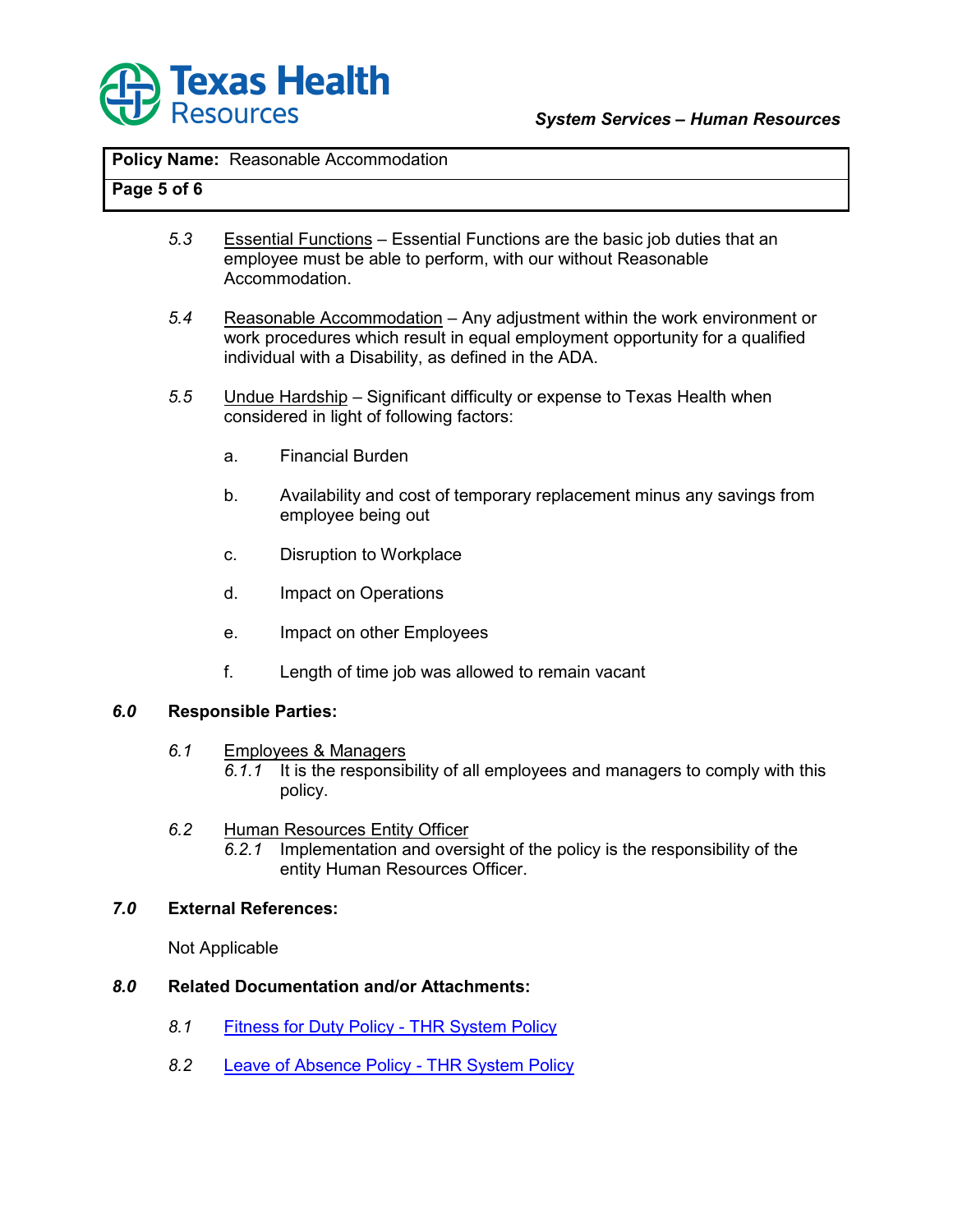

# **Page 5 of 6**

- *5.3* Essential Functions Essential Functions are the basic job duties that an employee must be able to perform, with our without Reasonable Accommodation.
- *5.4* Reasonable Accommodation Any adjustment within the work environment or work procedures which result in equal employment opportunity for a qualified individual with a Disability, as defined in the ADA.
- *5.5* Undue Hardship Significant difficulty or expense to Texas Health when considered in light of following factors:
	- a. Financial Burden
	- b. Availability and cost of temporary replacement minus any savings from employee being out
	- c. Disruption to Workplace
	- d. Impact on Operations
	- e. Impact on other Employees
	- f. Length of time job was allowed to remain vacant

#### *6.0* **Responsible Parties:**

- *6.1* Employees & Managers
	- *6.1.1* It is the responsibility of all employees and managers to comply with this policy.
- *6.2* Human Resources Entity Officer
	- *6.2.1* Implementation and oversight of the policy is the responsibility of the entity Human Resources Officer.

#### *7.0* **External References:**

Not Applicable

#### *8.0* **Related Documentation and/or Attachments:**

- 8.1 **Fitness for Duty Policy THR System Policy**
- *8.2* [Leave of Absence Policy THR System Policy](http://policyconnect/docview/?docid=27520)